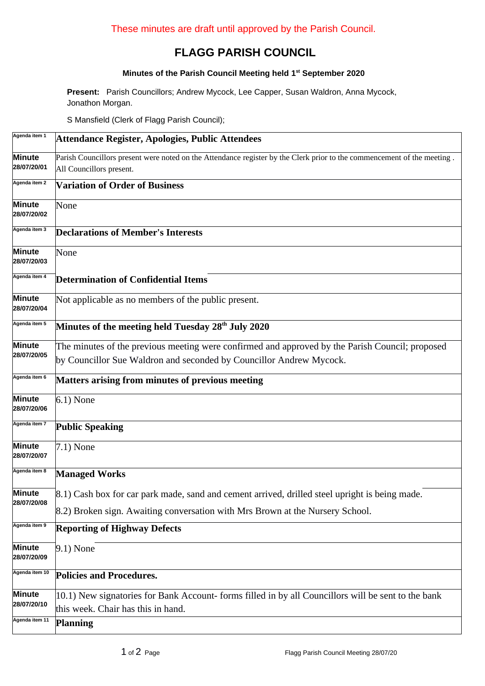## **FLAGG PARISH COUNCIL**

## **Minutes of the Parish Council Meeting held 1 st September 2020**

**Present:** Parish Councillors; Andrew Mycock, Lee Capper, Susan Waldron, Anna Mycock, Jonathon Morgan.

S Mansfield (Clerk of Flagg Parish Council);

| Agenda item 1                | Attendance Register, Apologies, Public Attendees                                                                                                                                |  |  |  |  |  |
|------------------------------|---------------------------------------------------------------------------------------------------------------------------------------------------------------------------------|--|--|--|--|--|
| Minute<br>28/07/20/01        | Parish Councillors present were noted on the Attendance register by the Clerk prior to the commencement of the meeting.<br>All Councillors present.                             |  |  |  |  |  |
| Agenda item 2                | <b>Variation of Order of Business</b>                                                                                                                                           |  |  |  |  |  |
| Minute<br>28/07/20/02        | None                                                                                                                                                                            |  |  |  |  |  |
| Agenda item 3                | <b>Declarations of Member's Interests</b>                                                                                                                                       |  |  |  |  |  |
| Minute<br>28/07/20/03        | None                                                                                                                                                                            |  |  |  |  |  |
| Agenda item 4                | <b>Determination of Confidential Items</b>                                                                                                                                      |  |  |  |  |  |
| Minute<br>28/07/20/04        | Not applicable as no members of the public present.                                                                                                                             |  |  |  |  |  |
| Agenda item 5                | Minutes of the meeting held Tuesday 28 <sup>th</sup> July 2020                                                                                                                  |  |  |  |  |  |
| Minute<br>28/07/20/05        | The minutes of the previous meeting were confirmed and approved by the Parish Council; proposed<br>by Councillor Sue Waldron and seconded by Councillor Andrew Mycock.          |  |  |  |  |  |
| Agenda item 6                | <b>Matters arising from minutes of previous meeting</b>                                                                                                                         |  |  |  |  |  |
| Minute<br>28/07/20/06        | $6.1)$ None                                                                                                                                                                     |  |  |  |  |  |
| Agenda item 7                | <b>Public Speaking</b>                                                                                                                                                          |  |  |  |  |  |
| Minute<br>28/07/20/07        | 7.1) None                                                                                                                                                                       |  |  |  |  |  |
| Agenda item 8                | <b>Managed Works</b>                                                                                                                                                            |  |  |  |  |  |
| <b>Minute</b><br>28/07/20/08 | 8.1) Cash box for car park made, sand and cement arrived, drilled steel upright is being made.<br>8.2) Broken sign. Awaiting conversation with Mrs Brown at the Nursery School. |  |  |  |  |  |
| Agenda item 9                | <b>Reporting of Highway Defects</b>                                                                                                                                             |  |  |  |  |  |
| <b>Minute</b><br>28/07/20/09 | $9.1)$ None                                                                                                                                                                     |  |  |  |  |  |
| Agenda item 10               | <b>Policies and Procedures.</b>                                                                                                                                                 |  |  |  |  |  |
| <b>Minute</b><br>28/07/20/10 | 10.1) New signatories for Bank Account-forms filled in by all Councillors will be sent to the bank<br>this week. Chair has this in hand.                                        |  |  |  |  |  |
| Agenda item 11               | <b>Planning</b>                                                                                                                                                                 |  |  |  |  |  |